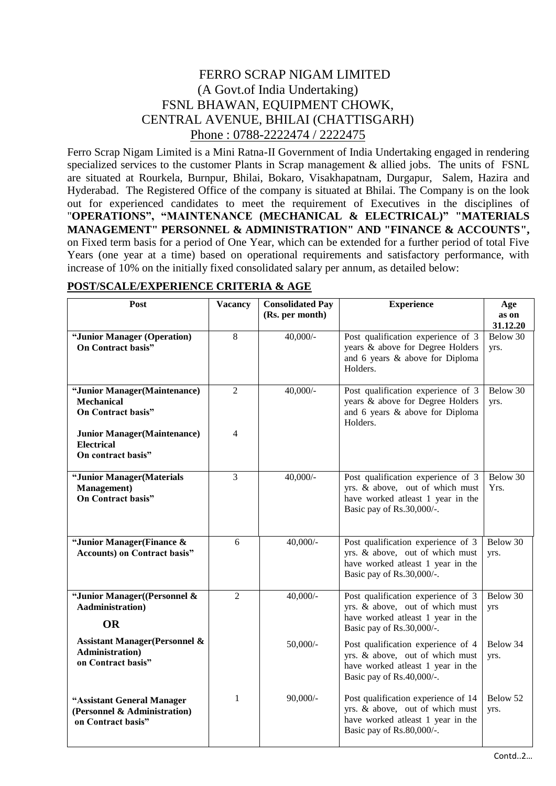## FERRO SCRAP NIGAM LIMITED (A Govt.of India Undertaking) FSNL BHAWAN, EQUIPMENT CHOWK, CENTRAL AVENUE, BHILAI (CHATTISGARH) Phone : 0788-2222474 / 2222475

Ferro Scrap Nigam Limited is a Mini Ratna-II Government of India Undertaking engaged in rendering specialized services to the customer Plants in Scrap management & allied jobs. The units of FSNL are situated at Rourkela, Burnpur, Bhilai, Bokaro, Visakhapatnam, Durgapur, Salem, Hazira and Hyderabad. The Registered Office of the company is situated at Bhilai. The Company is on the look out for experienced candidates to meet the requirement of Executives in the disciplines of "**OPERATIONS", "MAINTENANCE (MECHANICAL & ELECTRICAL)" "MATERIALS MANAGEMENT" PERSONNEL & ADMINISTRATION" AND "FINANCE & ACCOUNTS",**  on Fixed term basis for a period of One Year, which can be extended for a further period of total Five Years (one year at a time) based on operational requirements and satisfactory performance, with increase of 10% on the initially fixed consolidated salary per annum, as detailed below:

| Post                                                                                       | Vacancy        | <b>Consolidated Pay</b><br>(Rs. per month) | <b>Experience</b>                                                                                                                        | Age<br>as on                 |
|--------------------------------------------------------------------------------------------|----------------|--------------------------------------------|------------------------------------------------------------------------------------------------------------------------------------------|------------------------------|
| "Junior Manager (Operation)<br><b>On Contract basis"</b>                                   | $\overline{8}$ | $40,000/-$                                 | Post qualification experience of 3<br>years & above for Degree Holders<br>and 6 years & above for Diploma<br>Holders.                    | 31.12.20<br>Below 30<br>yrs. |
| "Junior Manager(Maintenance)<br><b>Mechanical</b><br>On Contract basis"                    | $\overline{2}$ | $40,000/$ -                                | Post qualification experience of 3<br>years & above for Degree Holders<br>and 6 years & above for Diploma<br>Holders.                    | Below 30<br>yrs.             |
| <b>Junior Manager</b> (Maintenance)<br><b>Electrical</b><br>On contract basis"             | 4              |                                            |                                                                                                                                          |                              |
| "Junior Manager(Materials<br>Management)<br>On Contract basis"                             | 3              | $40,000/$ -                                | Post qualification experience of 3<br>yrs. & above, out of which must<br>have worked atleast 1 year in the<br>Basic pay of Rs.30,000/-.  | Below 30<br>Yrs.             |
| "Junior Manager(Finance &<br><b>Accounts)</b> on Contract basis"                           | 6              | $40,000/$ -                                | Post qualification experience of 3<br>yrs. & above, out of which must<br>have worked atleast 1 year in the<br>Basic pay of Rs.30,000/-.  | Below 30<br>yrs.             |
| "Junior Manager((Personnel &<br>Aadministration)<br><b>OR</b>                              | $\overline{2}$ | $40,000/$ -                                | Post qualification experience of 3<br>yrs. & above, out of which must<br>have worked atleast 1 year in the<br>Basic pay of Rs.30,000/-.  | Below 30<br>yrs              |
| <b>Assistant Manager (Personnel &amp;</b><br><b>Administration</b> )<br>on Contract basis" |                | $50,000/$ -                                | Post qualification experience of 4<br>yrs. & above, out of which must<br>have worked atleast 1 year in the<br>Basic pay of Rs.40,000/-.  | Below 34<br>yrs.             |
| "Assistant General Manager<br>(Personnel & Administration)<br>on Contract basis"           | $\mathbf{1}$   | $90,000/$ -                                | Post qualification experience of 14<br>yrs. & above, out of which must<br>have worked atleast 1 year in the<br>Basic pay of Rs.80,000/-. | Below 52<br>yrs.             |

### **POST/SCALE/EXPERIENCE CRITERIA & AGE**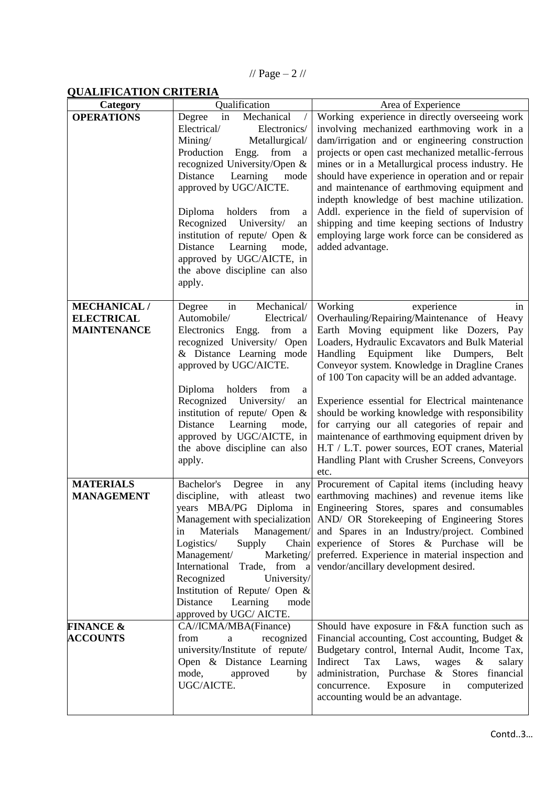// Page  $-2$  //

# **QUALIFICATION CRITERIA**

| <u> External Carl Carl Charlotte</u>    | Qualification                                                        | Area of Experience                                                                                                     |  |  |
|-----------------------------------------|----------------------------------------------------------------------|------------------------------------------------------------------------------------------------------------------------|--|--|
| Category<br><b>OPERATIONS</b>           | Mechanical<br>Degree<br>in                                           | Working experience in directly overseeing work                                                                         |  |  |
|                                         | Electrical/<br>Electronics/                                          | involving mechanized earthmoving work in a                                                                             |  |  |
|                                         | Mining/<br>Metallurgical/                                            | dam/irrigation and or engineering construction                                                                         |  |  |
|                                         | Production<br>from<br>Engg.<br>a                                     | projects or open cast mechanized metallic-ferrous                                                                      |  |  |
|                                         | recognized University/Open &                                         | mines or in a Metallurgical process industry. He                                                                       |  |  |
|                                         | Distance<br>Learning<br>mode                                         | should have experience in operation and or repair                                                                      |  |  |
|                                         | approved by UGC/AICTE.                                               | and maintenance of earthmoving equipment and                                                                           |  |  |
|                                         |                                                                      | indepth knowledge of best machine utilization.                                                                         |  |  |
|                                         | Diploma<br>holders<br>from<br>a                                      | Addl. experience in the field of supervision of                                                                        |  |  |
|                                         | Recognized University/<br>an<br>institution of repute/ Open &        | shipping and time keeping sections of Industry<br>employing large work force can be considered as                      |  |  |
|                                         | Distance<br>Learning<br>mode,                                        | added advantage.                                                                                                       |  |  |
|                                         | approved by UGC/AICTE, in                                            |                                                                                                                        |  |  |
|                                         | the above discipline can also                                        |                                                                                                                        |  |  |
|                                         | apply.                                                               |                                                                                                                        |  |  |
|                                         |                                                                      |                                                                                                                        |  |  |
| <b>MECHANICAL/</b>                      | Mechanical/<br>Degree<br>in                                          | Working<br>experience<br>in                                                                                            |  |  |
| <b>ELECTRICAL</b><br><b>MAINTENANCE</b> | Automobile/<br>Electrical/<br>Electronics Engg. from<br><sub>a</sub> | Overhauling/Repairing/Maintenance of Heavy<br>Earth Moving equipment like Dozers, Pay                                  |  |  |
|                                         | recognized University/ Open                                          | Loaders, Hydraulic Excavators and Bulk Material                                                                        |  |  |
|                                         | & Distance Learning mode                                             | Handling Equipment like<br>Dumpers,<br>Belt                                                                            |  |  |
|                                         | approved by UGC/AICTE.                                               | Conveyor system. Knowledge in Dragline Cranes                                                                          |  |  |
|                                         |                                                                      | of 100 Ton capacity will be an added advantage.                                                                        |  |  |
|                                         | holders<br>Diploma<br>from<br>a                                      |                                                                                                                        |  |  |
|                                         | Recognized University/<br>an                                         | Experience essential for Electrical maintenance                                                                        |  |  |
|                                         | institution of repute/ Open &<br>Distance Learning<br>mode,          | should be working knowledge with responsibility<br>for carrying our all categories of repair and                       |  |  |
|                                         | approved by UGC/AICTE, in                                            | maintenance of earthmoving equipment driven by                                                                         |  |  |
|                                         | the above discipline can also                                        | H.T / L.T. power sources, EOT cranes, Material                                                                         |  |  |
|                                         | apply.                                                               | Handling Plant with Crusher Screens, Conveyors                                                                         |  |  |
|                                         |                                                                      | etc.                                                                                                                   |  |  |
| <b>MATERIALS</b>                        | Bachelor's Degree<br>in<br>any                                       | Procurement of Capital items (including heavy                                                                          |  |  |
| <b>MANAGEMENT</b>                       | discipline,<br>with atleast                                          | two earthmoving machines) and revenue items like<br>years MBA/PG Diploma in Engineering Stores, spares and consumables |  |  |
|                                         |                                                                      | Management with specialization AND/ OR Storekeeping of Engineering Stores                                              |  |  |
|                                         | Materials<br>Management/<br>in                                       | and Spares in an Industry/project. Combined                                                                            |  |  |
|                                         | Logistics/<br>Chain<br>Supply                                        | experience of Stores & Purchase will be                                                                                |  |  |
|                                         | Management/<br>Marketing/                                            | preferred. Experience in material inspection and                                                                       |  |  |
|                                         | International<br>Trade, from a                                       | vendor/ancillary development desired.                                                                                  |  |  |
|                                         | Recognized<br>University/                                            |                                                                                                                        |  |  |
|                                         | Institution of Repute/ Open &<br>Distance<br>Learning<br>mode        |                                                                                                                        |  |  |
|                                         | approved by UGC/AICTE.                                               |                                                                                                                        |  |  |
| <b>FINANCE &amp;</b>                    | CA//ICMA/MBA(Finance)                                                | Should have exposure in F&A function such as                                                                           |  |  |
| <b>ACCOUNTS</b>                         | recognized<br>from<br>a                                              | Financial accounting, Cost accounting, Budget &                                                                        |  |  |
|                                         | university/Institute of repute/                                      | Budgetary control, Internal Audit, Income Tax,                                                                         |  |  |
|                                         | Open & Distance Learning                                             | Indirect<br>Tax<br>Laws,<br>wages<br>$\&$<br>salary                                                                    |  |  |
|                                         | mode,<br>approved<br>by                                              | Purchase<br>& Stores financial<br>administration,                                                                      |  |  |
|                                         | UGC/AICTE.                                                           | Exposure<br>computerized<br>concurrence.<br>in<br>accounting would be an advantage.                                    |  |  |
|                                         |                                                                      |                                                                                                                        |  |  |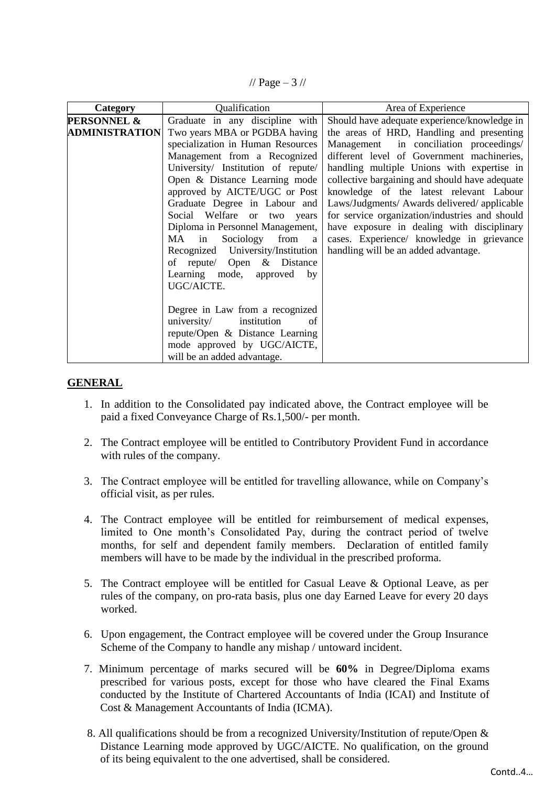// Page  $-3$  //

| Category                                        | Qualification                                                                                                                                                                                                                                                                                                                                                                                                                                                                                 | Area of Experience                                                                                                                                                                                                                                                                                                                                                                                                                                                                                                                                                 |  |
|-------------------------------------------------|-----------------------------------------------------------------------------------------------------------------------------------------------------------------------------------------------------------------------------------------------------------------------------------------------------------------------------------------------------------------------------------------------------------------------------------------------------------------------------------------------|--------------------------------------------------------------------------------------------------------------------------------------------------------------------------------------------------------------------------------------------------------------------------------------------------------------------------------------------------------------------------------------------------------------------------------------------------------------------------------------------------------------------------------------------------------------------|--|
| <b>PERSONNEL &amp;</b><br><b>ADMINISTRATION</b> | Graduate in any discipline with<br>Two years MBA or PGDBA having<br>specialization in Human Resources<br>Management from a Recognized<br>University/ Institution of repute/<br>Open & Distance Learning mode<br>approved by AICTE/UGC or Post<br>Graduate Degree in Labour and<br>Social Welfare or two years<br>Diploma in Personnel Management,<br>MA in<br>Sociology from a<br>Recognized University/Institution<br>of repute/ Open & Distance<br>Learning mode, approved by<br>UGC/AICTE. | Should have adequate experience/knowledge in<br>the areas of HRD, Handling and presenting<br>Management in conciliation proceedings/<br>different level of Government machineries,<br>handling multiple Unions with expertise in<br>collective bargaining and should have adequate<br>knowledge of the latest relevant Labour<br>Laws/Judgments/ Awards delivered/ applicable<br>for service organization/industries and should<br>have exposure in dealing with disciplinary<br>cases. Experience/ knowledge in grievance<br>handling will be an added advantage. |  |
|                                                 | Degree in Law from a recognized<br>university/<br>institution<br>of<br>repute/Open & Distance Learning<br>mode approved by UGC/AICTE,<br>will be an added advantage.                                                                                                                                                                                                                                                                                                                          |                                                                                                                                                                                                                                                                                                                                                                                                                                                                                                                                                                    |  |

### **GENERAL**

- 1. In addition to the Consolidated pay indicated above, the Contract employee will be paid a fixed Conveyance Charge of Rs.1,500/- per month.
- 2. The Contract employee will be entitled to Contributory Provident Fund in accordance with rules of the company.
- 3. The Contract employee will be entitled for travelling allowance, while on Company's official visit, as per rules.
- 4. The Contract employee will be entitled for reimbursement of medical expenses, limited to One month's Consolidated Pay, during the contract period of twelve months, for self and dependent family members. Declaration of entitled family members will have to be made by the individual in the prescribed proforma.
- 5. The Contract employee will be entitled for Casual Leave & Optional Leave, as per rules of the company, on pro-rata basis, plus one day Earned Leave for every 20 days worked.
- 6. Upon engagement, the Contract employee will be covered under the Group Insurance Scheme of the Company to handle any mishap / untoward incident.
- 7. Minimum percentage of marks secured will be **60%** in Degree/Diploma exams prescribed for various posts, except for those who have cleared the Final Exams conducted by the Institute of Chartered Accountants of India (ICAI) and Institute of Cost & Management Accountants of India (ICMA).
- 8. All qualifications should be from a recognized University/Institution of repute/Open & Distance Learning mode approved by UGC/AICTE. No qualification, on the ground of its being equivalent to the one advertised, shall be considered.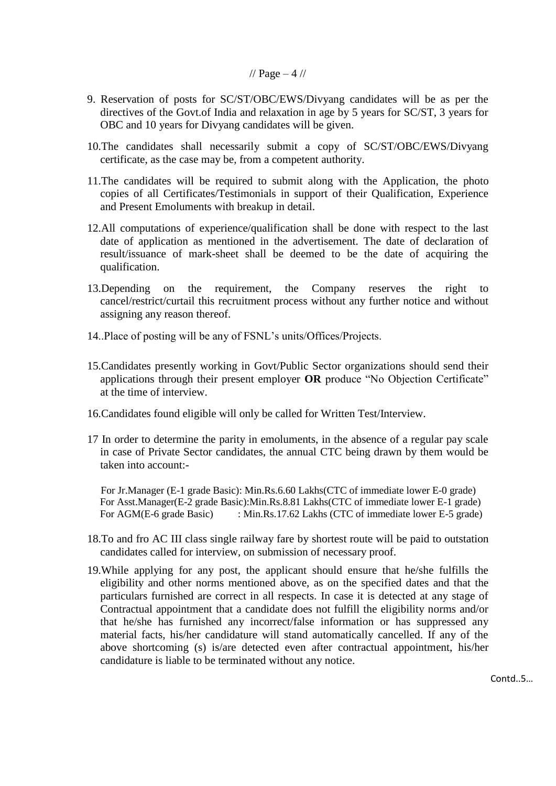- 9. Reservation of posts for SC/ST/OBC/EWS/Divyang candidates will be as per the directives of the Govt.of India and relaxation in age by 5 years for SC/ST, 3 years for OBC and 10 years for Divyang candidates will be given.
- 10.The candidates shall necessarily submit a copy of SC/ST/OBC/EWS/Divyang certificate, as the case may be, from a competent authority.
- 11.The candidates will be required to submit along with the Application, the photo copies of all Certificates/Testimonials in support of their Qualification, Experience and Present Emoluments with breakup in detail.
- 12.All computations of experience/qualification shall be done with respect to the last date of application as mentioned in the advertisement. The date of declaration of result/issuance of mark-sheet shall be deemed to be the date of acquiring the qualification.
- 13.Depending on the requirement, the Company reserves the right to cancel/restrict/curtail this recruitment process without any further notice and without assigning any reason thereof.
- 14..Place of posting will be any of FSNL's units/Offices/Projects.
- 15.Candidates presently working in Govt/Public Sector organizations should send their applications through their present employer **OR** produce "No Objection Certificate" at the time of interview.
- 16.Candidates found eligible will only be called for Written Test/Interview.
- 17 In order to determine the parity in emoluments, in the absence of a regular pay scale in case of Private Sector candidates, the annual CTC being drawn by them would be taken into account:-

For Jr.Manager (E-1 grade Basic): Min.Rs.6.60 Lakhs(CTC of immediate lower E-0 grade) For Asst.Manager(E-2 grade Basic):Min.Rs.8.81 Lakhs(CTC of immediate lower E-1 grade) For AGM(E-6 grade Basic) : Min.Rs.17.62 Lakhs (CTC of immediate lower E-5 grade)

- 18.To and fro AC III class single railway fare by shortest route will be paid to outstation candidates called for interview, on submission of necessary proof.
- 19.While applying for any post, the applicant should ensure that he/she fulfills the eligibility and other norms mentioned above, as on the specified dates and that the particulars furnished are correct in all respects. In case it is detected at any stage of Contractual appointment that a candidate does not fulfill the eligibility norms and/or that he/she has furnished any incorrect/false information or has suppressed any material facts, his/her candidature will stand automatically cancelled. If any of the above shortcoming (s) is/are detected even after contractual appointment, his/her candidature is liable to be terminated without any notice.

Contd..5…